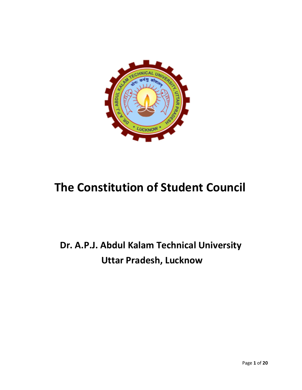

# The Constitution of Student Council

# Dr. A.P.J. Abdul Kalam Technical University Uttar Pradesh, Lucknow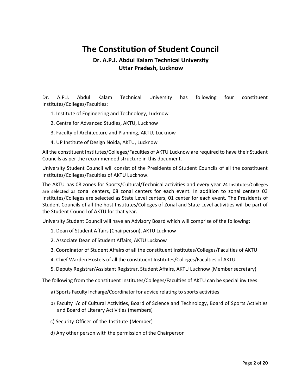## The Constitution of Student Council

### Dr. A.P.J. Abdul Kalam Technical University Uttar Pradesh, Lucknow

Dr. A.P.J. Abdul Kalam Technical University has following four constituent Institutes/Colleges/Faculties:

- 1. Institute of Engineering and Technology, Lucknow
- 2. Centre for Advanced Studies, AKTU, Lucknow
- 3. Faculty of Architecture and Planning, AKTU, Lucknow
- 4. UP Institute of Design Noida, AKTU, Lucknow

All the constituent Institutes/Colleges/Faculties of AKTU Lucknow are required to have their Student Councils as per the recommended structure in this document.

University Student Council will consist of the Presidents of Student Councils of all the constituent Institutes/Colleges/Faculties of AKTU Lucknow.

The AKTU has 08 zones for Sports/Cultural/Technical activities and every year 24 Institutes/Colleges are selected as zonal centers, 08 zonal centers for each event. In addition to zonal centers 03 Institutes/Colleges are selected as State Level centers, 01 center for each event. The Presidents of Student Councils of all the host Institutes/Colleges of Zonal and State Level activities will be part of the Student Council of AKTU for that year.

University Student Council will have an Advisory Board which will comprise of the following:

- 1. Dean of Student Affairs (Chairperson), AKTU Lucknow
- 2. Associate Dean of Student Affairs, AKTU Lucknow
- 3. Coordinator of Student Affairs of all the constituent Institutes/Colleges/Faculties of AKTU
- 4. Chief Warden Hostels of all the constituent Institutes/Colleges/Faculties of AKTU
- 5. Deputy Registrar/Assistant Registrar, Student Affairs, AKTU Lucknow (Member secretary)

The following from the constituent Institutes/Colleges/Faculties of AKTU can be special invitees:

- a) Sports Faculty Incharge/Coordinator for advice relating to sports activities
- b) Faculty I/c of Cultural Activities, Board of Science and Technology, Board of Sports Activities and Board of Literary Activities (members)
- c) Security Officer of the Institute (Member)
- d) Any other person with the permission of the Chairperson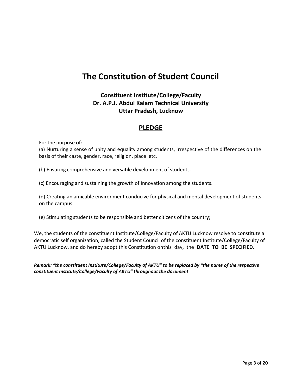## The Constitution of Student Council

### Constituent Institute/College/Faculty Dr. A.P.J. Abdul Kalam Technical University Uttar Pradesh, Lucknow

### **PLEDGE**

For the purpose of:

(a) Nurturing a sense of unity and equality among students, irrespective of the differences on the basis of their caste, gender, race, religion, place etc.

(b) Ensuring comprehensive and versatile development of students.

(c) Encouraging and sustaining the growth of Innovation among the students.

(d) Creating an amicable environment conducive for physical and mental development of students on the campus.

(e) Stimulating students to be responsible and better citizens of the country;

We, the students of the constituent Institute/College/Faculty of AKTU Lucknow resolve to constitute a democratic self organization, called the Student Council of the constituent Institute/College/Faculty of AKTU Lucknow, and do hereby adopt this Constitution onthis day, the DATE TO BE SPECIFIED.

Remark: "the constituent Institute/College/Faculty of AKTU" to be replaced by "the name of the respective constituent Institute/College/Faculty of AKTU" throughout the document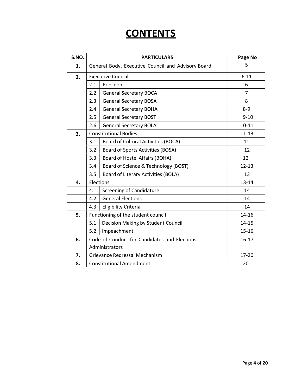# **CONTENTS**

| S.NO. | <b>PARTICULARS</b>                                 |                                       | Page No   |
|-------|----------------------------------------------------|---------------------------------------|-----------|
| 1.    | General Body, Executive Council and Advisory Board |                                       | 5         |
| 2.    | <b>Executive Council</b>                           |                                       | $6 - 11$  |
|       | 2.1                                                | President                             | 6         |
|       | 2.2                                                | <b>General Secretary BOCA</b>         | 7         |
|       | 2.3                                                | <b>General Secretary BOSA</b>         | 8         |
|       | 2.4                                                | <b>General Secretary BOHA</b>         | $8 - 9$   |
|       | 2.5                                                | <b>General Secretary BOST</b>         | $9 - 10$  |
|       | 2.6                                                | <b>General Secretary BOLA</b>         | $10 - 11$ |
| 3.    | <b>Constitutional Bodies</b>                       |                                       | $11 - 13$ |
|       | 3.1                                                | Board of Cultural Activities (BOCA)   | 11        |
|       | 3.2                                                | Board of Sports Activities (BOSA)     | 12        |
|       | 3.3                                                | <b>Board of Hostel Affairs (BOHA)</b> | 12        |
|       | 3.4                                                | Board of Science & Technology (BOST)  | $12 - 13$ |
|       | 3.5                                                | Board of Literary Activities (BOLA)   | 13        |
| 4.    | Elections                                          |                                       | $13 - 14$ |
|       | 4.1                                                | <b>Screening of Candidature</b>       | 14        |
|       | 4.2                                                | <b>General Elections</b>              | 14        |
|       | 4.3                                                | <b>Eligibility Criteria</b>           | 14        |
| 5.    | Functioning of the student council                 |                                       | $14 - 16$ |
|       | 5.1                                                | Decision Making by Student Council    | $14 - 15$ |
|       | 5.2                                                | Impeachment                           | $15 - 16$ |
| 6.    | Code of Conduct for Candidates and Elections       |                                       | $16 - 17$ |
|       | Administrators                                     |                                       |           |
| 7.    | Grievance Redressal Mechanism                      |                                       | $17 - 20$ |
| 8.    | <b>Constitutional Amendment</b>                    |                                       | 20        |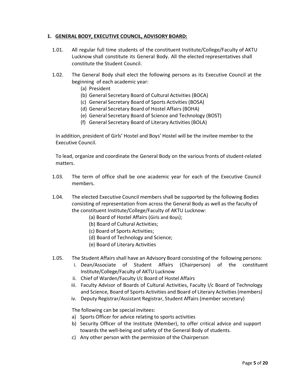#### 1. GENERAL BODY, EXECUTIVE COUNCIL, ADVISORY BOARD:

- 1.01. All regular full time students of the constituent Institute/College/Faculty of AKTU Lucknow shall constitute its General Body. All the elected representatives shall constitute the Student Council.
- 1.02. The General Body shall elect the following persons as its Executive Council at the beginning of each academic year:
	- (a) President

.

- (b) General Secretary Board of Cultural Activities (BOCA)
- (c) General Secretary Board of Sports Activities (BOSA)
- (d) General Secretary Board of Hostel Affairs (BOHA)
- (e) General Secretary Board of Science and Technology (BOST)
- (f) General Secretary Board of Literary Activities (BOLA)

In addition, president of Girls' Hostel and Boys' Hostel will be the invitee member to the Executive Council.

To lead, organize and coordinate the General Body on the various fronts of student-related matters.

1.03. The term of office shall be one academic year for each of the Executive Council members.

1.04. The elected Executive Council members shall be supported by the following Bodies consisting of representation from across the General Body as well as the faculty of the constituent Institute/College/Faculty of AKTU Lucknow:

- (a) Board of Hostel Affairs (Girls and Boys);
- (b) Board of Cultural Activities;
- (c) Board of Sports Activities;
- (d) Board of Technology and Science;
- (e) Board of Literary Activities
- 1.05. The Student Affairs shall have an Advisory Board consisting of the following persons:
	- i. Dean/Associate of Student Affairs (Chairperson) of the constituent Institute/College/Faculty of AKTU Lucknow
	- ii. Chief of Warden/Faculty I/c Board of Hostel Affairs
	- iii. Faculty Advisor of Boards of Cultural Activities, Faculty I/c Board of Technology and Science, Board of Sports Activities and Board of Literary Activities (members)
	- iv. Deputy Registrar/Assistant Registrar, Student Affairs (member secretary)

The following can be special invitees:

- a) Sports Officer for advice relating to sports activities
- b) Security Officer of the Institute (Member), to offer critical advice and support towards the well-being and safety of the General Body of students.
- c) Any other person with the permission of the Chairperson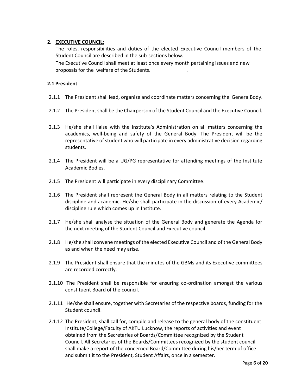#### 2. EXECUTIVE COUNCIL:

The roles, responsibilities and duties of the elected Executive Council members of the Student Council are described in the sub-sections below.

The Executive Council shall meet at least once every month pertaining issues and new proposals for the welfare of the Students. .

#### 2.1 President

- 2.1.1 The President shall lead, organize and coordinate matters concerning the General Body.
- 2.1.2 The President shall be the Chairperson of the Student Council and the Executive Council.
- 2.1.3 He/she shall liaise with the Institute's Administration on all matters concerning the academics, well-being and safety of the General Body. The President will be the representative of student who will participate in every administrative decision regarding students.
- 2.1.4 The President will be a UG/PG representative for attending meetings of the Institute Academic Bodies.
- 2.1.5 The President will participate in every disciplinary Committee.
- 2.1.6 The President shall represent the General Body in all matters relating to the Student discipline and academic. He/she shall participate in the discussion of every Academic/ discipline rule which comes up in Institute.
- 2.1.7 He/she shall analyse the situation of the General Body and generate the Agenda for the next meeting of the Student Council and Executive council.
- 2.1.8 He/she shall convene meetings of the elected Executive Council and of the General Body as and when the need may arise.
- 2.1.9 The President shall ensure that the minutes of the GBMs and its Executive committees are recorded correctly.
- 2.1.10 The President shall be responsible for ensuring co-ordination amongst the various constituent Board of the council.
- 2.1.11 He/she shall ensure, together with Secretaries of the respective boards, funding for the Student council.
- 2.1.12 The President, shall call for, compile and release to the general body of the constituent Institute/College/Faculty of AKTU Lucknow, the reports of activities and event obtained from the Secretaries of Boards/Committee recognized by the Student Council. All Secretaries of the Boards/Committees recognized by the student council shall make a report of the concerned Board/Committee during his/her term of office and submit it to the President, Student Affairs, once in a semester.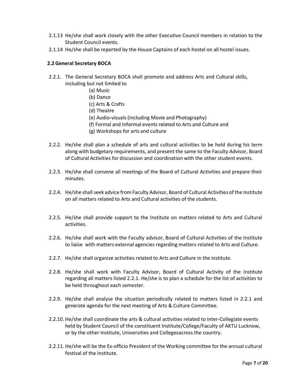- 2.1.13 He/she shall work closely with the other Executive Council members in relation to the Student Council events.
- 2.1.14 He/she shall be reported by the House Captains of each hostel on all hostel issues.

#### 2.2 General Secretary BOCA

- 2.2.1. The General Secretary BOCA shall promote and address Arts and Cultural skills, including but not limited to
	- (a) Music
	- (b) Dance
	- (c) Arts & Crafts
	- (d) Theatre
	- (e) Audio-visuals (including Movie and Photography)
	- (f) Formal and Informal events related to Arts and Culture and
	- (g) Workshops for arts and culture
- 2.2.2. He/she shall plan a schedule of arts and cultural activities to be held during his term along with budgetary requirements, and present the same to the Faculty Advisor, Board of Cultural Activities for discussion and coordination with the other student events.
- 2.2.3. He/she shall convene all meetings of the Board of Cultural Activities and prepare their minutes.
- 2.2.4. He/she shall seek advice from Faculty Advisor, Board of Cultural Activities of the Institute on all matters related to Arts and Cultural activities of the students.
- 2.2.5. He/she shall provide support to the Institute on matters related to Arts and Cultural activities.
- 2.2.6. He/she shall work with the Faculty advisor, Board of Cultural Activities of the Institute to liaise with matters external agencies regarding matters related to Arts and Culture.
- 2.2.7. He/she shall organize activities related to Arts and Culture in the institute.
- 2.2.8. He/she shall work with Faculty Advisor, Board of Cultural Activity of the Institute regarding all matters listed 2.2.1. He/she is to plan a schedule for the list of activities to be held throughout each semester.
- 2.2.9. He/she shall analyse the situation periodically related to matters listed in 2.2.1 and generate agenda for the next meeting of Arts & Culture Committee.
- 2.2.10. He/she shall coordinate the arts & cultural activities related to Inter-Collegiate events held by Student Council of the constituent Institute/College/Faculty of AKTU Lucknow, or by the other Institute, Universities and Colleges across the country.
- 2.2.11. He/she will be the Ex-officio President of the Working committee for the annual cultural festival of the institute.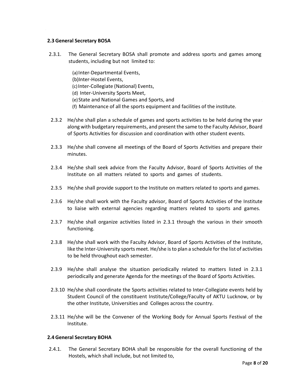#### 2.3 General Secretary BOSA

- 2.3.1. The General Secretary BOSA shall promote and address sports and games among students, including but not limited to:
	- (a)Inter-Departmental Events,
	- (b)Inter-Hostel Events,
	- (c)Inter-Collegiate (National) Events,
	- (d) Inter-University Sports Meet,
	- (e)State and National Games and Sports, and .
	- (f) Maintenance of all the sports equipment and facilities of the institute.
- 2.3.2 He/she shall plan a schedule of games and sports activities to be held during the year along with budgetary requirements, and present the same to the Faculty Advisor, Board of Sports Activities for discussion and coordination with other student events.
- 2.3.3 He/she shall convene all meetings of the Board of Sports Activities and prepare their minutes.
- 2.3.4 He/she shall seek advice from the Faculty Advisor, Board of Sports Activities of the Institute on all matters related to sports and games of students.
- 2.3.5 He/she shall provide support to the Institute on matters related to sports and games.
- 2.3.6 He/she shall work with the Faculty advisor, Board of Sports Activities of the Institute to liaise with external agencies regarding matters related to sports and games.
- 2.3.7 He/she shall organize activities listed in 2.3.1 through the various in their smooth functioning.
- 2.3.8 He/she shall work with the Faculty Advisor, Board of Sports Activities of the Institute, like the Inter-University sports meet. He/she is to plan a schedule for the list of activities to be held throughout each semester.
- 2.3.9 He/she shall analyse the situation periodically related to matters listed in 2.3.1 periodically and generate Agenda for the meetings of the Board of Sports Activities.
- 2.3.10 He/she shall coordinate the Sports activities related to Inter-Collegiate events held by Student Council of the constituent Institute/College/Faculty of AKTU Lucknow, or by the other Institute, Universities and Colleges across the country.
- 2.3.11 He/she will be the Convener of the Working Body for Annual Sports Festival of the Institute.

#### 2.4 General Secretary BOHA

2.4.1. The General Secretary BOHA shall be responsible for the overall functioning of the Hostels, which shall include, but not limited to,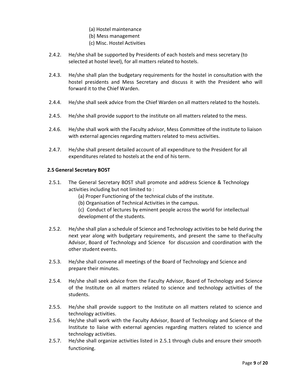- (a) Hostel maintenance
- (b) Mess management
- (c) Misc. Hostel Activities
- 2.4.2. He/she shall be supported by Presidents of each hostels and mess secretary (to selected at hostel level), for all matters related to hostels.
- 2.4.3. He/she shall plan the budgetary requirements for the hostel in consultation with the hostel presidents and Mess Secretary and discuss it with the President who will forward it to the Chief Warden.
- 2.4.4. He/she shall seek advice from the Chief Warden on all matters related to the hostels.
- 2.4.5. He/she shall provide support to the institute on all matters related to the mess.
- 2.4.6. He/she shall work with the Faculty advisor, Mess Committee of the institute to liaison with external agencies regarding matters related to mess activities.
- 2.4.7. He/she shall present detailed account of all expenditure to the President for all expenditures related to hostels at the end of his term.

#### 2.5 General Secretary BOST

- 2.5.1. The General Secretary BOST shall promote and address Science & Technology activities including but not limited to :
	- (a) Proper Functioning of the technical clubs of the institute.
	- (b) Organisation of Technical Activities in the campus.
	- (c) Conduct of lectures by eminent people across the world for intellectual development of the students.
- 2.5.2. He/she shall plan a schedule of Science and Technology activities to be held during the next year along with budgetary requirements, and present the same to the Faculty Advisor, Board of Technology and Science for discussion and coordination with the other student events.
- 2.5.3. He/she shall convene all meetings of the Board of Technology and Science and prepare their minutes.
- 2.5.4. He/she shall seek advice from the Faculty Advisor, Board of Technology and Science of the Institute on all matters related to science and technology activities of the students.
- 2.5.5. He/she shall provide support to the Institute on all matters related to science and technology activities.
- 2.5.6. He/she shall work with the Faculty Advisor, Board of Technology and Science of the Institute to liaise with external agencies regarding matters related to science and technology activities.
- 2.5.7. He/she shall organize activities listed in 2.5.1 through clubs and ensure their smooth functioning.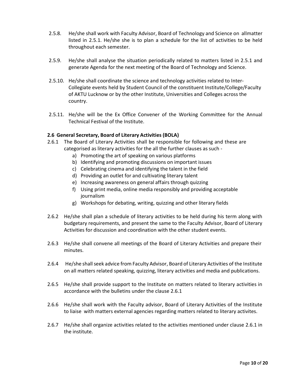- 2.5.8. He/she shall work with Faculty Advisor, Board of Technology and Science on all matter listed in 2.5.1. He/she she is to plan a schedule for the list of activities to be held throughout each semester.
- 2.5.9. He/she shall analyse the situation periodically related to matters listed in 2.5.1 and generate Agenda for the next meeting of the Board of Technology and Science.
- 2.5.10. He/she shall coordinate the science and technology activities related to Inter-Collegiate events held by Student Council of the constituent Institute/College/Faculty of AKTU Lucknow or by the other Institute, Universities and Colleges across the country.
- 2.5.11. He/she will be the Ex Office Convener of the Working Committee for the Annual Technical Festival of the Institute.

#### 2.6 General Secretary, Board of Literary Activities (BOLA)

- 2.6.1 The Board of Literary Activities shall be responsible for following and these are categorised as literary activities for the all the further clauses as such
	- a) Promoting the art of speaking on various platforms
	- b) Identifying and promoting discussions on important issues
	- c) Celebrating cinema and identifying the talent in the field
	- d) Providing an outlet for and cultivating literary talent
	- e) Increasing awareness on general affairs through quizzing
	- f) Using print media, online media responsibly and providing acceptable journalism
	- g) Workshops for debating, writing, quizzing and other literary fields
- 2.6.2 He/she shall plan a schedule of literary activities to be held during his term along with budgetary requirements, and present the same to the Faculty Advisor, Board of Literary Activities for discussion and coordination with the other student events.
- 2.6.3 He/she shall convene all meetings of the Board of Literary Activities and prepare their minutes.
- 2.6.4 He/she shall seek advice from Faculty Advisor, Board of Literary Activities of the Institute on all matters related speaking, quizzing, literary activities and media and publications.
- 2.6.5 He/she shall provide support to the Institute on matters related to literary activities in accordance with the bulletins under the clause 2.6.1
- 2.6.6 He/she shall work with the Faculty advisor, Board of Literary Activities of the Institute to liaise with matters external agencies regarding matters related to literary activites.
- 2.6.7 He/she shall organize activities related to the activities mentioned under clause 2.6.1 in the institute.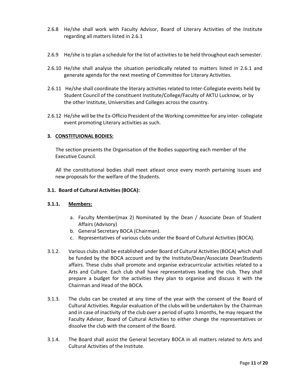- 2.6.8 He/she shall work with Faculty Advisor, Board of Literary Activities of the Institute regarding all matters listed in 2.6.1
- 2.6.9 He/she is to plan a schedule for the list of activities to be held throughout each semester.
- 2.6.10 He/she shall analyse the situation periodically related to matters listed in 2.6.1 and generate agenda for the next meeting of Committee for Literary Activities.
- 2.6.11 He/she shall coordinate the literary activities related to Inter-Collegiate events held by Student Council of the constituent Institute/College/Faculty of AKTU Lucknow, or by the other Institute, Universities and Colleges across the country.
- 2.6.12 He/she will be the Ex-Officio President of the Working committee for any inter- collegiate event promoting Literary activities as such.

#### 3. CONSTITUIONAL BODIES:

The section presents the Organisation of the Bodies supporting each member of the Executive Council.

All the constitutional bodies shall meet atleast once every month pertaining issues and new proposals for the welfare of the Students.

#### 3.1. Board of Cultural Activities (BOCA):

#### 3.1.1. Members:

- a. Faculty Member(max 2) Nominated by the Dean / Associate Dean of Student Affairs (Advisory)
- b. General Secretary BOCA (Chairman).
- c. Representatives of various clubs under the Board of Cultural Activities (BOCA).
- 3.1.2. Various clubs shall be established under Board of Cultural Activities (BOCA) which shall be funded by the BOCA account and by the Institute/Dean/Associate Dean Students affairs. These clubs shall promote and organise extracurricular activities related to a Arts and Culture. Each club shall have representatives leading the club. They shall prepare a budget for the activities they plan to organise and discuss it with the Chairman and Head of the BOCA.
- 3.1.3. The clubs can be created at any time of the year with the consent of the Board of Cultural Activities. Regular evaluation of the clubs will be undertaken by the Chairman and in case of inactivity of the club over a period of upto 3 months, he may request the Faculty Advisor, Board of Cultural Activities to either change the representatives or dissolve the club with the consent of the Board.
- 3.1.4. The Board shall assist the General Secretary BOCA in all matters related to Arts and Cultural Activities of the Institute.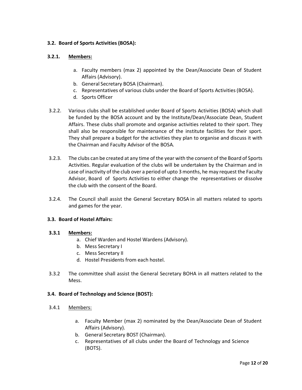#### 3.2. Board of Sports Activities (BOSA):

#### 3.2.1. Members:

- a. Faculty members (max 2) appointed by the Dean/Associate Dean of Student Affairs (Advisory).
- b. General Secretary BOSA (Chairman).
- c. Representatives of various clubs under the Board of Sports Activities (BOSA).
- d. Sports Officer
- 3.2.2. Various clubs shall be established under Board of Sports Activities (BOSA) which shall be funded by the BOSA account and by the Institute/Dean/Associate Dean, Student Affairs. These clubs shall promote and organise activities related to their sport. They shall also be responsible for maintenance of the institute facilities for their sport. They shall prepare a budget for the activities they plan to organise and discuss it with the Chairman and Faculty Advisor of the BOSA.
- 3.2.3. The clubs can be created at any time of the year with the consent of the Board of Sports Activities. Regular evaluation of the clubs will be undertaken by the Chairman and in case of inactivity of the club over a period of upto 3 months, he may request the Faculty Advisor, Board of Sports Activities to either change the representatives or dissolve the club with the consent of the Board.
- 3.2.4. The Council shall assist the General Secretary BOSA in all matters related to sports and games for the year.

#### 3.3. Board of Hostel Affairs:

#### 3.3.1 Members:

- a. Chief Warden and Hostel Wardens (Advisory).
- b. Mess Secretary I
- c. Mess Secretary II
- d. Hostel Presidents from each hostel.
- 3.3.2 The committee shall assist the General Secretary BOHA in all matters related to the Mess.

#### 3.4. Board of Technology and Science (BOST):

- 3.4.1 Members:
	- a. Faculty Member (max 2) nominated by the Dean/Associate Dean of Student Affairs (Advisory).
	- b. General Secretary BOST (Chairman).
	- c. Representatives of all clubs under the Board of Technology and Science (BOTS).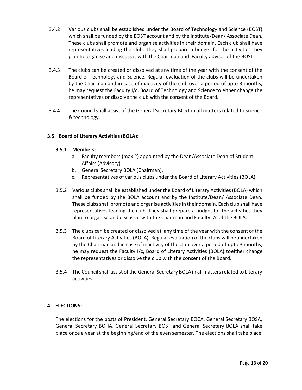- 3.4.2 Various clubs shall be established under the Board of Technology and Science (BOST) which shall be funded by the BOST account and by the Institute/Dean/ Associate Dean. These clubs shall promote and organise activities in their domain. Each club shall have representatives leading the club. They shall prepare a budget for the activities they plan to organise and discuss it with the Chairman and Faculty advisor of the BOST.
- 3.4.3 The clubs can be created or dissolved at any time of the year with the consent of the Board of Technology and Science. Regular evaluation of the clubs will be undertaken by the Chairman and in case of inactivity of the club over a period of upto 3 months, he may request the Faculty I/c, Board of Technology and Science to either change the representatives or dissolve the club with the consent of the Board.
- 3.4.4 The Council shall assist of the General Secretary BOST in all matters related to science & technology.

#### 3.5. Board of Literary Activities (BOLA):

#### 3.5.1 Members:

- a. Faculty members (max 2) appointed by the Dean/Associate Dean of Student Affairs (Advisory).
- b. General Secretary BOLA (Chairman).
- c. Representatives of various clubs under the Board of Literary Activities (BOLA).
- 3.5.2 Various clubs shall be established under the Board of Literary Activities (BOLA) which shall be funded by the BOLA account and by the Institute/Dean/ Associate Dean. These clubs shall promote and organise activities in their domain. Each club shall have representatives leading the club. They shall prepare a budget for the activities they plan to organise and discuss it with the Chairman and Faculty I/c of the BOLA.
- 3.5.3 The clubs can be created or dissolved at any time of the year with the consent of the Board of Literary Activities (BOLA). Regular evaluation of the clubs will beundertaken by the Chairman and in case of inactivity of the club over a period of upto 3 months, he may request the Faculty I/c, Board of Literary Activities (BOLA) to either change the representatives or dissolve the club with the consent of the Board.
- 3.5.4 The Council shall assist of the General Secretary BOLA in all matters related to Literary activities.

#### 4. ELECTIONS:

The elections for the posts of President, General Secretary BOCA, General Secretary BOSA, General Secretary BOHA, General Secretary BOST and General Secretary BOLA shall take place once a year at the beginning/end of the even semester. The elections shall take place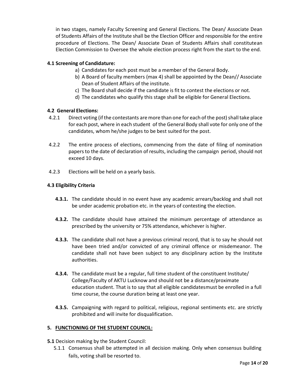in two stages, namely Faculty Screening and General Elections. The Dean/ Associate Dean of Students Affairs of the Institute shall be the Election Officer and responsible for the entire procedure of Elections. The Dean/ Associate Dean of Students Affairs shall constitute an Election Commission to Oversee the whole election process right from the start to the end.

#### 4.1 Screening of Candidature:

- a) Candidates for each post must be a member of the General Body.
- b) A Board of faculty members (max 4) shall be appointed by the Dean// Associate Dean of Student Affairs of the institute.
- c) The Board shall decide if the candidate is fit to contest the elections or not.
- d) The candidates who qualify this stage shall be eligible for General Elections.

#### 4.2 General Elections:

- 4.2.1 Direct voting (if the contestants are more than one for each of the post) shall take place for each post, where in each student of the General Body shall vote for only one of the candidates, whom he/she judges to be best suited for the post.
- 4.2.2 The entire process of elections, commencing from the date of filing of nomination papers to the date of declaration of results, including the campaign period, should not exceed 10 days.
- 4.2.3 Elections will be held on a yearly basis.

#### 4.3 Eligibility Criteria

- **4.3.1.** The candidate should in no event have any academic arrears/backlog and shall not be under academic probation etc. in the years of contesting the election.
- 4.3.2. The candidate should have attained the minimum percentage of attendance as prescribed by the university or 75% attendance, whichever is higher.
- **4.3.3.** The candidate shall not have a previous criminal record, that is to say he should not have been tried and/or convicted of any criminal offence or misdemeanor. The candidate shall not have been subject to any disciplinary action by the Institute authorities.
- 4.3.4. The candidate must be a regular, full time student of the constituent Institute/ College/Faculty of AKTU Lucknow and should not be a distance/proximate education student. That is to say that all eligible candidates must be enrolled in a full time course, the course duration being at least one year.
- 4.3.5. Campaigning with regard to political, religious, regional sentiments etc. are strictly prohibited and will invite for disqualification.

#### 5. FUNCTIONING OF THE STUDENT COUNCIL:

- 5.1 Decision making by the Student Council:
	- 5.1.1 Consensus shall be attempted in all decision making. Only when consensus building fails, voting shall be resorted to.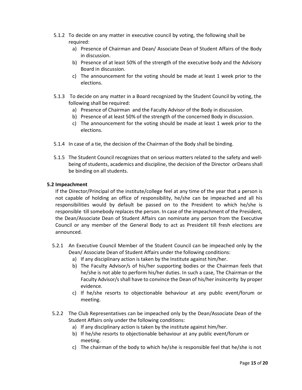- 5.1.2 To decide on any matter in executive council by voting, the following shall be required:
	- a) Presence of Chairman and Dean/ Associate Dean of Student Affairs of the Body in discussion.
	- b) Presence of at least 50% of the strength of the executive body and the Advisory Board in discussion.
	- c) The announcement for the voting should be made at least 1 week prior to the elections.
- 5.1.3 To decide on any matter in a Board recognized by the Student Council by voting, the following shall be required:
	- a) Presence of Chairman and the Faculty Advisor of the Body in discussion.
	- b) Presence of at least 50% of the strength of the concerned Body in discussion.
	- c) The announcement for the voting should be made at least 1 week prior to the elections.
- 5.1.4 In case of a tie, the decision of the Chairman of the Body shall be binding.
- 5.1.5 The Student Council recognizes that on serious matters related to the safety and wellbeing of students, academics and discipline, the decision of the Director or Deans shall be binding on all students.

#### 5.2 Impeachment

If the Director/Principal of the institute/college feel at any time of the year that a person is not capable of holding an office of responsibility, he/she can be impeached and all his responsibilities would by default be passed on to the President to which he/she is responsible till somebody replaces the person. In case of the impeachment of the President, the Dean/Associate Dean of Student Affairs can nominate any person from the Executive Council or any member of the General Body to act as President till fresh elections are announced.

- 5.2.1 An Executive Council Member of the Student Council can be impeached only by the Dean/ Associate Dean of Student Affairs under the following conditions:
	- a) If any disciplinary action is taken by the Institute against him/her.
	- b) The Faculty Advisor/s of his/her supporting bodies or the Chairman feels that he/she is not able to perform his/her duties. In such a case, The Chairman or the Faculty Advisor/s shall have to convince the Dean of his/her insincerity by proper evidence.
	- c) If he/she resorts to objectionable behaviour at any public event/forum or meeting.
- 5.2.2 The Club Representatives can be impeached only by the Dean/Associate Dean of the Student Affairs only under the following conditions:
	- a) If any disciplinary action is taken by the institute against him/her.
	- b) If he/she resorts to objectionable behaviour at any public event/forum or meeting.
	- c) The chairman of the body to which he/she is responsible feel that he/she is not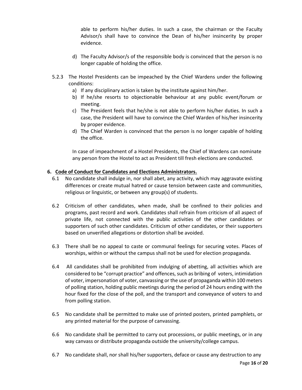able to perform his/her duties. In such a case, the chairman or the Faculty Advisor/s shall have to convince the Dean of his/her insincerity by proper evidence.

- d) The Faculty Advisor/s of the responsible body is convinced that the person is no longer capable of holding the office.
- 5.2.3 The Hostel Presidents can be impeached by the Chief Wardens under the following conditions:
	- a) If any disciplinary action is taken by the institute against him/her.
	- b) If he/she resorts to objectionable behaviour at any public event/forum or meeting.
	- c) The President feels that he/she is not able to perform his/her duties. In such a case, the President will have to convince the Chief Warden of his/her insincerity by proper evidence.
	- d) The Chief Warden is convinced that the person is no longer capable of holding the office.

In case of impeachment of a Hostel Presidents, the Chief of Wardens can nominate any person from the Hostel to act as President till fresh elections are conducted.

#### 6. Code of Conduct for Candidates and Elections Administrators.

- 6.1 No candidate shall indulge in, nor shall abet, any activity, which may aggravate existing differences or create mutual hatred or cause tension between caste and communities, religious or linguistic, or between any group(s) of students.
- 6.2 Criticism of other candidates, when made, shall be confined to their policies and programs, past record and work. Candidates shall refrain from criticism of all aspect of private life, not connected with the public activities of the other candidates or supporters of such other candidates. Criticism of other candidates, or their supporters based on unverified allegations or distortion shall be avoided.
- 6.3 There shall be no appeal to caste or communal feelings for securing votes. Places of worships, within or without the campus shall not be used for election propaganda.
- 6.4 All candidates shall be prohibited from indulging of abetting, all activities which are considered to be "corrupt practice" and offences, such as bribing of voters, intimidation of voter, impersonation of voter, canvassing or the use of propaganda within 100 meters of polling station, holding public meetings during the period of 24 hours ending with the hour fixed for the close of the poll, and the transport and conveyance of voters to and from polling station.
- 6.5 No candidate shall be permitted to make use of printed posters, printed pamphlets, or any printed material for the purpose of canvassing.
- 6.6 No candidate shall be permitted to carry out processions, or public meetings, or in any way canvass or distribute propaganda outside the university/college campus.
- 6.7 No candidate shall, nor shall his/her supporters, deface or cause any destruction to any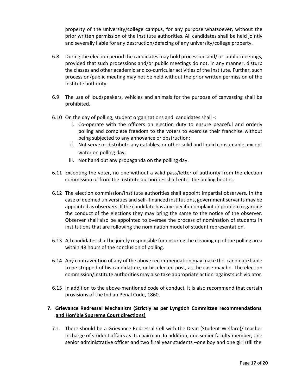property of the university/college campus, for any purpose whatsoever, without the prior written permission of the Institute authorities. All candidates shall be held jointly and severally liable for any destruction/defacing of any university/college property.

- 6.8 During the election period the candidates may hold procession and/ or public meetings, provided that such processions and/or public meetings do not, in any manner, disturb the classes and other academic and co-curricular activities of the Institute. Further, such procession/public meeting may not be held without the prior written permission of the Institute authority.
- 6.9 The use of loudspeakers, vehicles and animals for the purpose of canvassing shall be prohibited.
- 6.10 On the day of polling, student organizations and candidates shall -:
	- i. Co-operate with the officers on election duty to ensure peaceful and orderly polling and complete freedom to the voters to exercise their franchise without being subjected to any annoyance or obstruction;
	- ii. Not serve or distribute any eatables, or other solid and liquid consumable, except water on polling day;
	- iii. Not hand out any propaganda on the polling day.
- 6.11 Excepting the voter, no one without a valid pass/letter of authority from the election commission or from the Institute authorities shall enter the polling booths.
- 6.12 The election commission/Institute authorities shall appoint impartial observers. In the case of deemed universities and self- financed institutions, government servants may be appointed as observers. If the candidate has any specific complaint or problem regarding the conduct of the elections they may bring the same to the notice of the observer. Observer shall also be appointed to oversee the process of nomination of students in institutions that are following the nomination model of student representation.
- 6.13 All candidates shall be jointly responsible for ensuring the cleaning up of the polling area within 48 hours of the conclusion of polling.
- 6.14 Any contravention of any of the above recommendation may make the candidate liable to be stripped of his candidature, or his elected post, as the case may be. The election commission/Institute authorities may also take appropriate action against such violator.
- 6.15 In addition to the above-mentioned code of conduct, it is also recommend that certain provisions of the Indian Penal Code, 1860.

#### 7. Grievance Redressal Mechanism (Strictly as per Lyngdoh Committee recommendations and Hon'ble Supreme Court directions)

7.1 There should be a Grievance Redressal Cell with the Dean (Student Welfare)/ teacher Incharge of student affairs as its chairman. In addition, one senior faculty member, one senior administrative officer and two final year students –one boy and one girl (till the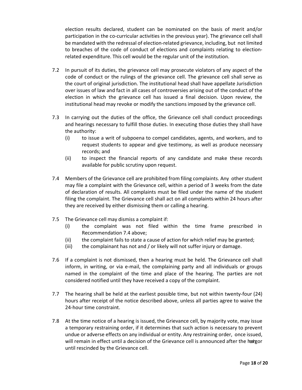election results declared, student can be nominated on the basis of merit and/or participation in the co-curricular activities in the previous year). The grievance cell shall be mandated with the redressal of election-related grievance, including, but not limited to breaches of the code of conduct of elections and complaints relating to electionrelated expenditure. This cell would be the regular unit of the institution.

- 7.2 In pursuit of its duties, the grievance cell may prosecute violators of any aspect of the code of conduct or the rulings of the grievance cell. The grievance cell shall serve as the court of original jurisdiction. The institutional head shall have appellate Jurisdiction over issues of law and fact in all cases of controversies arising out of the conduct of the election in which the grievance cell has issued a final decision. Upon review, the institutional head may revoke or modify the sanctions imposed by the grievance cell.
- 7.3 In carrying out the duties of the office, the Grievance cell shall conduct proceedings and hearings necessary to fulfill those duties. In executing those duties they shall have the authority:
	- (i) to issue a writ of subpoena to compel candidates, agents, and workers, and to request students to appear and give testimony, as well as produce necessary records; and
	- (ii) to inspect the financial reports of any candidate and make these records available for public scrutiny upon request.
- 7.4 Members of the Grievance cell are prohibited from filing complaints. Any other student may file a complaint with the Grievance cell, within a period of 3 weeks from the date of declaration of results. All complaints must be filed under the name of the student filing the complaint. The Grievance cell shall act on all complaints within 24 hours after they are received by either dismissing them or calling a hearing.
- 7.5 The Grievance cell may dismiss a complaint if:
	- (i) the complaint was not filed within the time frame prescribed in Recommendation 7.4 above;
	- (ii) the complaint fails to state a cause of action for which relief may be granted;
	- (iii) the complainant has not and / or likely will not suffer injury or damage.
- 7.6 If a complaint is not dismissed, then a hearing must be held. The Grievance cell shall inform, in writing, or via e-mail, the complaining party and all individuals or groups named in the complaint of the time and place of the hearing. The parties are not considered notified until they have received a copy of the complaint.
- 7.7 The hearing shall be held at the earliest possible time, but not within twenty-four (24) hours after receipt of the notice described above, unless all parties agree to waive the 24-hour time constraint.
- 7.8 At the time notice of a hearing is issued, the Grievance cell, by majority vote, may issue a temporary restraining order, if it determines that such action is necessary to prevent undue or adverse effects on any individual or entity. Any restraining order, once issued, will remain in effect until a decision of the Grievance cell is announced after the heirgor until rescinded by the Grievance cell.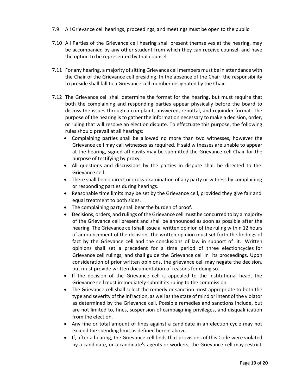- 7.9 All Grievance cell hearings, proceedings, and meetings must be open to the public.
- 7.10 All Parties of the Grievance cell hearing shall present themselves at the hearing, may be accompanied by any other student from which they can receive counsel, and have the option to be represented by that counsel.
- 7.11 For any hearing, a majority of sitting Grievance cell members must be in attendance with the Chair of the Grievance cell presiding. In the absence of the Chair, the responsibility to preside shall fall to a Grievance cell member designated by the Chair.
- 7.12 The Grievance cell shall determine the format for the hearing, but must require that both the complaining and responding parties appear physically before the board to discuss the issues through a complaint, answered, rebuttal, and rejoinder format. The purpose of the hearing is to gather the information necessary to make a decision, order, or ruling that will resolve an election dispute. To effectuate this purpose, the following rules should prevail at all hearings:
	- Complaining parties shall be allowed no more than two witnesses, however the Grievance cell may call witnesses as required. If said witnesses are unable to appear at the hearing, signed affidavits may be submitted the Grievance cell Chair for the purpose of testifying by proxy.
	- All questions and discussions by the parties in dispute shall be directed to the Grievance cell.
	- There shall be no direct or cross-examination of any party or witness by complaining or responding parties during hearings.
	- Reasonable time limits may be set by the Grievance cell, provided they give fair and equal treatment to both sides.
	- The complaining party shall bear the burden of proof.
	- Decisions, orders, and rulings of the Grievance cell must be concurred to by a majority of the Grievance cell present and shall be announced as soon as possible after the hearing. The Grievance cell shall issue a written opinion of the ruling within 12 hours of announcement of the decision. The written opinion must set forth the findings of fact by the Grievance cell and the conclusions of law in support of it. Written opinions shall set a precedent for a time period of three electioncycles for Grievance cell rulings, and shall guide the Grievance cell in its proceedings. Upon consideration of prior written opinions, the grievance cell may negate the decision, but must provide written documentation of reasons for doing so.
	- If the decision of the Grievance cell is appealed to the institutional head, the Grievance cell must immediately submit its ruling to the commission.
	- The Grievance cell shall select the remedy or sanction most appropriate to both the type and severity of the infraction, as well as the state of mind or intent of the violator as determined by the Grievance cell. Possible remedies and sanctions include, but are not limited to, fines, suspension of campaigning privileges, and disqualification from the election.
	- Any fine or total amount of fines against a candidate in an election cycle may not exceed the spending limit as defined herein above.
	- If, after a hearing, the Grievance cell finds that provisions of this Code were violated by a candidate, or a candidate's agents or workers, the Grievance cell may restrict